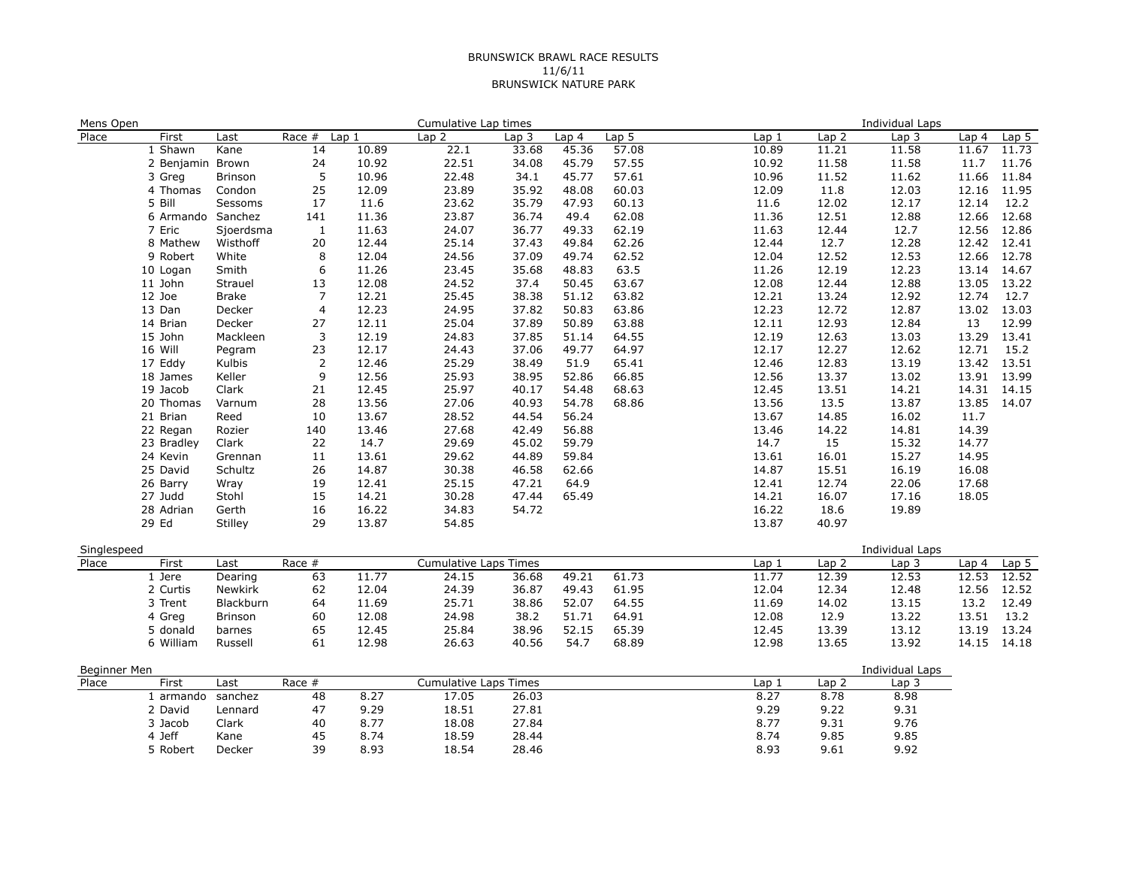## BRUNSWICK BRAWL RACE RESULTS 11/6/11 BRUNSWICK NATURE PARK

| Mens Open             |  |                  |                |                         |       | Cumulative Lap times         |       |       |                   |                  |                  | Individual Laps  |             |                  |
|-----------------------|--|------------------|----------------|-------------------------|-------|------------------------------|-------|-------|-------------------|------------------|------------------|------------------|-------------|------------------|
| Place                 |  | First            | Last           | Race #                  | Lap1  | Lap <sub>2</sub>             | Lap 3 | Lap 4 | Lap <sub>5</sub>  | Lap <sub>1</sub> | Lap <sub>2</sub> | Lap <sub>3</sub> | Lap 4       | Lap <sub>5</sub> |
|                       |  | 1 Shawn          | Kane           | 14                      | 10.89 | 22.1                         | 33.68 | 45.36 | $\frac{1}{57.08}$ | 10.89            | 11.21            | 11.58            | 11.67       | 11.73            |
|                       |  | 2 Benjamin Brown |                | 24                      | 10.92 | 22.51                        | 34.08 | 45.79 | 57.55             | 10.92            | 11.58            | 11.58            | 11.7        | 11.76            |
|                       |  | 3 Greg           | Brinson        | 5                       | 10.96 | 22.48                        | 34.1  | 45.77 | 57.61             | 10.96            | 11.52            | 11.62            | 11.66       | 11.84            |
|                       |  | 4 Thomas         | Condon         | 25                      | 12.09 | 23.89                        | 35.92 | 48.08 | 60.03             | 12.09            | 11.8             | 12.03            | 12.16       | 11.95            |
|                       |  | 5 Bill           | Sessoms        | 17                      | 11.6  | 23.62                        | 35.79 | 47.93 | 60.13             | 11.6             | 12.02            | 12.17            | 12.14       | 12.2             |
|                       |  | 6 Armando        | Sanchez        | 141                     | 11.36 | 23.87                        | 36.74 | 49.4  | 62.08             | 11.36            | 12.51            | 12.88            | 12.66       | 12.68            |
|                       |  | 7 Eric           | Sjoerdsma      | 1                       | 11.63 | 24.07                        | 36.77 | 49.33 | 62.19             | 11.63            | 12.44            | 12.7             | 12.56       | 12.86            |
|                       |  | 8 Mathew         | Wisthoff       | 20                      | 12.44 | 25.14                        | 37.43 | 49.84 | 62.26             | 12.44            | 12.7             | 12.28            | 12.42 12.41 |                  |
|                       |  | 9 Robert         | White          | 8                       | 12.04 | 24.56                        | 37.09 | 49.74 | 62.52             | 12.04            | 12.52            | 12.53            | 12.66       | 12.78            |
|                       |  | 10 Logan         | Smith          | $\boldsymbol{6}$        | 11.26 | 23.45                        | 35.68 | 48.83 | 63.5              | 11.26            | 12.19            | 12.23            | 13.14 14.67 |                  |
|                       |  | 11 John          | Strauel        | 13                      | 12.08 | 24.52                        | 37.4  | 50.45 | 63.67             | 12.08            | 12.44            | 12.88            | 13.05       | 13.22            |
|                       |  | 12 Joe           | Brake          | 7                       | 12.21 | 25.45                        | 38.38 | 51.12 | 63.82             | 12.21            | 13.24            | 12.92            | 12.74       | 12.7             |
|                       |  | 13 Dan           | Decker         | $\overline{\mathbf{4}}$ | 12.23 | 24.95                        | 37.82 | 50.83 | 63.86             | 12.23            | 12.72            | 12.87            | 13.02       | 13.03            |
|                       |  | 14 Brian         | Decker         | 27                      | 12.11 | 25.04                        | 37.89 | 50.89 | 63.88             | 12.11            | 12.93            | 12.84            | 13          | 12.99            |
|                       |  | 15 John          | Mackleen       | 3                       | 12.19 | 24.83                        | 37.85 | 51.14 | 64.55             | 12.19            | 12.63            | 13.03            | 13.29       | 13.41            |
|                       |  | 16 Will          | Pegram         | 23                      | 12.17 | 24.43                        | 37.06 | 49.77 | 64.97             | 12.17            | 12.27            | 12.62            | 12.71       | 15.2             |
|                       |  | 17 Eddy          | Kulbis         | $\overline{2}$          | 12.46 | 25.29                        | 38.49 | 51.9  | 65.41             | 12.46            | 12.83            | 13.19            | 13.42 13.51 |                  |
|                       |  | 18 James         | Keller         | 9                       | 12.56 | 25.93                        | 38.95 | 52.86 | 66.85             | 12.56            | 13.37            | 13.02            | 13.91 13.99 |                  |
|                       |  | 19 Jacob         | Clark          | 21                      | 12.45 | 25.97                        | 40.17 | 54.48 | 68.63             | 12.45            | 13.51            | 14.21            | 14.31 14.15 |                  |
|                       |  | 20 Thomas        | Varnum         | 28                      | 13.56 | 27.06                        | 40.93 | 54.78 | 68.86             | 13.56            | 13.5             | 13.87            | 13.85       | 14.07            |
|                       |  | 21 Brian         | Reed           | 10                      | 13.67 | 28.52                        | 44.54 | 56.24 |                   | 13.67            | 14.85            | 16.02            | 11.7        |                  |
|                       |  | 22 Regan         | Rozier         | 140                     | 13.46 | 27.68                        | 42.49 | 56.88 |                   | 13.46            | 14.22            | 14.81            | 14.39       |                  |
|                       |  | 23 Bradley       | Clark          | 22                      | 14.7  | 29.69                        | 45.02 | 59.79 |                   | 14.7             | 15               | 15.32            | 14.77       |                  |
|                       |  | 24 Kevin         | Grennan        | 11                      | 13.61 | 29.62                        | 44.89 | 59.84 |                   | 13.61            | 16.01            | 15.27            | 14.95       |                  |
|                       |  | 25 David         | Schultz        | 26                      | 14.87 | 30.38                        | 46.58 | 62.66 |                   | 14.87            | 15.51            | 16.19            | 16.08       |                  |
|                       |  | 26 Barry         | Wray           | 19                      | 12.41 | 25.15                        | 47.21 | 64.9  |                   | 12.41            | 12.74            | 22.06            | 17.68       |                  |
|                       |  | 27 Judd          | Stohl          | 15                      | 14.21 | 30.28                        | 47.44 | 65.49 |                   | 14.21            | 16.07            | 17.16            | 18.05       |                  |
|                       |  | 28 Adrian        | Gerth          | 16                      | 16.22 | 34.83                        | 54.72 |       |                   | 16.22            | 18.6             | 19.89            |             |                  |
|                       |  | 29 Ed            | Stilley        | 29                      | 13.87 | 54.85                        |       |       |                   | 13.87            | 40.97            |                  |             |                  |
| Singlespeed           |  |                  |                |                         |       |                              |       |       |                   |                  |                  | Individual Laps  |             |                  |
| Place                 |  | First            | Last           | Race #                  |       | <b>Cumulative Laps Times</b> |       |       |                   | Lap <sub>1</sub> | Lap <sub>2</sub> | Lap <sub>3</sub> | Lap 4       | Lap <sub>5</sub> |
|                       |  | 1 Jere           | Dearing        | 63                      | 11.77 | 24.15                        | 36.68 | 49.21 | 61.73             | 11.77            | 12.39            | 12.53            | 12.53       | 12.52            |
|                       |  | 2 Curtis         | <b>Newkirk</b> | 62                      | 12.04 | 24.39                        | 36.87 | 49.43 | 61.95             | 12.04            | 12.34            | 12.48            | 12.56       | 12.52            |
|                       |  | 3 Trent          | Blackburn      | 64                      | 11.69 | 25.71                        | 38.86 | 52.07 | 64.55             | 11.69            | 14.02            | 13.15            | 13.2        | 12.49            |
|                       |  | 4 Greg           | Brinson        | 60                      | 12.08 | 24.98                        | 38.2  | 51.71 | 64.91             | 12.08            | 12.9             | 13.22            | 13.51       | 13.2             |
|                       |  | 5 donald         | barnes         | 65                      | 12.45 | 25.84                        | 38.96 | 52.15 | 65.39             | 12.45            | 13.39            | 13.12            | 13.19       | 13.24            |
|                       |  | 6 William        | Russell        | 61                      | 12.98 | 26.63                        | 40.56 | 54.7  | 68.89             | 12.98            | 13.65            | 13.92            | 14.15 14.18 |                  |
|                       |  |                  |                |                         |       |                              |       |       |                   |                  |                  | Individual Laps  |             |                  |
| Beginner Men<br>Place |  | First            | Last           | Race $#$                |       | <b>Cumulative Laps Times</b> |       |       |                   | Lap <sub>1</sub> | Lap <sub>2</sub> | Lap <sub>3</sub> |             |                  |
|                       |  | 1 armando        | sanchez        | 48                      | 8.27  | 17.05                        | 26.03 |       |                   | 8.27             | 8.78             | 8.98             |             |                  |
|                       |  | 2 David          | Lennard        | 47                      | 9.29  | 18.51                        | 27.81 |       |                   | 9.29             | 9.22             | 9.31             |             |                  |
|                       |  | 3 Jacob          | Clark          | 40                      | 8.77  | 18.08                        | 27.84 |       |                   | 8.77             | 9.31             | 9.76             |             |                  |
|                       |  | 4 Jeff           | Kane           | 45                      | 8.74  | 18.59                        | 28.44 |       |                   | 8.74             | 9.85             | 9.85             |             |                  |
|                       |  | 5 Robert         | Decker         | 39                      | 8.93  | 18.54                        | 28.46 |       |                   | 8.93             | 9.61             | 9.92             |             |                  |
|                       |  |                  |                |                         |       |                              |       |       |                   |                  |                  |                  |             |                  |